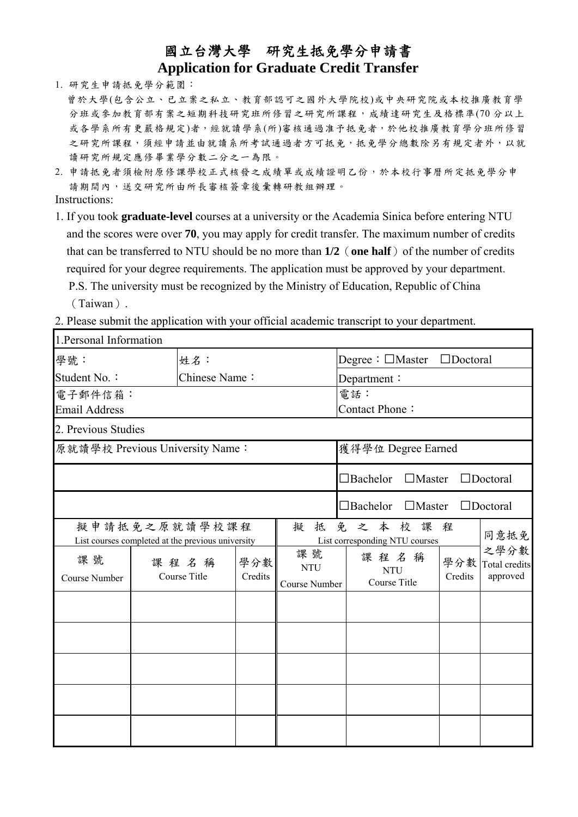## 國立台灣大學 研究生抵免學分申請書 **Application for Graduate Credit Transfer**

1. 研究生申請抵免學分範圍:

- 曾於大學(包含公立、已立案之私立、教育部認可之國外大學院校)或中央研究院或本校推廣教育學 分班或参加教育部有案之短期科技研究班所修習之研究所課程,成績達研究生及格標準(70分以上 或各學系所有更嚴格規定)者,經就讀學系(所)審核通過准予抵免者,於他校推廣教育學分班所修習 之研究所課程,須經申請並由就讀系所考試通過者方可抵免,抵免學分總數除另有規定者外,以就 讀研究所規定應修畢業學分數二分之一為限。
- 2. 申請抵免者須檢附原修課學校正式核發之成績單或成績證明乙份,於本校行事曆所定抵免學分申 請期間內,送交研究所由所長審核簽章後彙轉研教組辦理。

Instructions:

1. If you took **graduate-level** courses at a university or the Academia Sinica before entering NTU and the scores were over **70**, you may apply for credit transfer. The maximum number of credits that can be transferred to NTU should be no more than  $1/2$  (one half) of the number of credits required for your degree requirements. The application must be approved by your department. P.S. The university must be recognized by the Ministry of Education, Republic of China

(Taiwan).

2. Please submit the application with your official academic transcript to your department.

| 1. Personal Information                                                 |  |                      |                       |                                   |                                                      |                |                                   |  |  |
|-------------------------------------------------------------------------|--|----------------------|-----------------------|-----------------------------------|------------------------------------------------------|----------------|-----------------------------------|--|--|
| 學號:                                                                     |  | 姓名:                  |                       |                                   | Degree : $\Box$ Master<br>$\Box$ Doctoral            |                |                                   |  |  |
| Student No.:                                                            |  | Chinese Name:        |                       |                                   | Department:                                          |                |                                   |  |  |
| 電子郵件信箱:<br><b>Email Address</b>                                         |  |                      | 電話:<br>Contact Phone: |                                   |                                                      |                |                                   |  |  |
| 2. Previous Studies                                                     |  |                      |                       |                                   |                                                      |                |                                   |  |  |
| 原就讀學校 Previous University Name:                                         |  |                      | 獲得學位 Degree Earned    |                                   |                                                      |                |                                   |  |  |
|                                                                         |  |                      |                       |                                   | $\Box$ Master<br>$\Box$ Bachelor                     |                | $\Box$ Doctoral                   |  |  |
|                                                                         |  |                      |                       |                                   | $\Box$ Bachelor<br>$\Box$ Master                     |                | $\Box$ Doctoral                   |  |  |
| 擬申請抵免之原就讀學校課程<br>擬<br>List courses completed at the previous university |  |                      |                       |                                   | 免之本校課<br>程<br>同意抵免<br>List corresponding NTU courses |                |                                   |  |  |
| 課號<br>Course Number                                                     |  | 課程名稱<br>Course Title | 學分數<br>Credits        | 課號<br><b>NTU</b><br>Course Number | 課程名稱<br><b>NTU</b><br>Course Title                   | 學分數<br>Credits | 之學分數<br>Total credits<br>approved |  |  |
|                                                                         |  |                      |                       |                                   |                                                      |                |                                   |  |  |
|                                                                         |  |                      |                       |                                   |                                                      |                |                                   |  |  |
|                                                                         |  |                      |                       |                                   |                                                      |                |                                   |  |  |
|                                                                         |  |                      |                       |                                   |                                                      |                |                                   |  |  |
|                                                                         |  |                      |                       |                                   |                                                      |                |                                   |  |  |